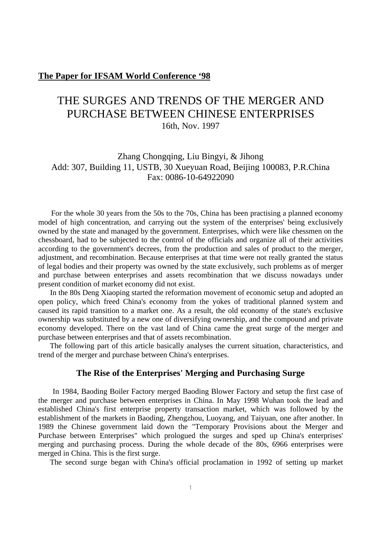### **The Paper for IFSAM World Conference '98**

# THE SURGES AND TRENDS OF THE MERGER AND PURCHASE BETWEEN CHINESE ENTERPRISES 16th, Nov. 1997

# Zhang Chongqing, Liu Bingyi, & Jihong Add: 307, Building 11, USTB, 30 Xueyuan Road, Beijing 100083, P.R.China Fax: 0086-10-64922090

 For the whole 30 years from the 50s to the 70s, China has been practising a planned economy model of high concentration, and carrying out the system of the enterprises' being exclusively owned by the state and managed by the government. Enterprises, which were like chessmen on the chessboard, had to be subjected to the control of the officials and organize all of their activities according to the government's decrees, from the production and sales of product to the merger, adjustment, and recombination. Because enterprises at that time were not really granted the status of legal bodies and their property was owned by the state exclusively, such problems as of merger and purchase between enterprises and assets recombination that we discuss nowadays under present condition of market economy did not exist.

 In the 80s Deng Xiaoping started the reformation movement of economic setup and adopted an open policy, which freed China's economy from the yokes of traditional planned system and caused its rapid transition to a market one. As a result, the old economy of the state's exclusive ownership was substituted by a new one of diversifying ownership, and the compound and private economy developed. There on the vast land of China came the great surge of the merger and purchase between enterprises and that of assets recombination.

 The following part of this article basically analyses the current situation, characteristics, and trend of the merger and purchase between China's enterprises.

### **The Rise of the Enterprises' Merging and Purchasing Surge**

 In 1984, Baoding Boiler Factory merged Baoding Blower Factory and setup the first case of the merger and purchase between enterprises in China. In May 1998 Wuhan took the lead and established China's first enterprise property transaction market, which was followed by the establishment of the markets in Baoding, Zhengzhou, Luoyang, and Taiyuan, one after another. In 1989 the Chinese government laid down the "Temporary Provisions about the Merger and Purchase between Enterprises" which prologued the surges and sped up China's enterprises' merging and purchasing process. During the whole decade of the 80s, 6966 enterprises were merged in China. This is the first surge.

The second surge began with China's official proclamation in 1992 of setting up market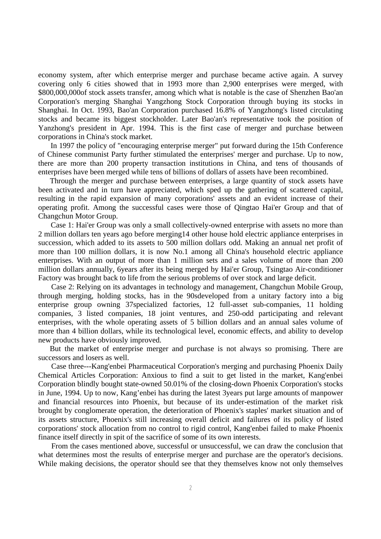economy system, after which enterprise merger and purchase became active again. A survey covering only 6 cities showed that in 1993 more than 2,900 enterprises were merged, with \$800,000,000of stock assets transfer, among which what is notable is the case of Shenzhen Bao'an Corporation's merging Shanghai Yangzhong Stock Corporation through buying its stocks in Shanghai. In Oct. 1993, Bao'an Corporation purchased 16.8% of Yangzhong's listed circulating stocks and became its biggest stockholder. Later Bao'an's representative took the position of Yanzhong's president in Apr. 1994. This is the first case of merger and purchase between corporations in China's stock market.

 In 1997 the policy of "encouraging enterprise merger" put forward during the 15th Conference of Chinese communist Party further stimulated the enterprises' merger and purchase. Up to now, there are more than 200 property transaction institutions in China, and tens of thousands of enterprises have been merged while tens of billions of dollars of assets have been recombined.

 Through the merger and purchase between enterprises, a large quantity of stock assets have been activated and in turn have appreciated, which sped up the gathering of scattered capital, resulting in the rapid expansion of many corporations' assets and an evident increase of their operating profit. Among the successful cases were those of Qingtao Hai'er Group and that of Changchun Motor Group.

 Case 1: Hai'er Group was only a small collectively-owned enterprise with assets no more than 2 million dollars ten years ago before merging14 other house hold electric appliance enterprises in succession, which added to its assets to 500 million dollars odd. Making an annual net profit of more than 100 million dollars, it is now No.1 among all China's household electric appliance enterprises. With an output of more than 1 million sets and a sales volume of more than 200 million dollars annually, 6years after its being merged by Hai'er Group, Tsingtao Air-conditioner Factory was brought back to life from the serious problems of over stock and large deficit.

 Case 2: Relying on its advantages in technology and management, Changchun Mobile Group, through merging, holding stocks, has in the 90sdeveloped from a unitary factory into a big enterprise group owning 37specialized factories, 12 full-asset sub-companies, 11 holding companies, 3 listed companies, 18 joint ventures, and 250-odd participating and relevant enterprises, with the whole operating assets of 5 billion dollars and an annual sales volume of more than 4 billion dollars, while its technological level, economic effects, and ability to develop new products have obviously improved.

 But the market of enterprise merger and purchase is not always so promising. There are successors and losers as well.

 Case three---Kang'enbei Pharmaceutical Corporation's merging and purchasing Phoenix Daily Chemical Articles Corporation: Anxious to find a suit to get listed in the market, Kang'enbei Corporation blindly bought state-owned 50.01% of the closing-down Phoenix Corporation's stocks in June, 1994. Up to now, Kang'enbei has during the latest 3years put large amounts of manpower and financial resources into Phoenix, but because of its under-estimation of the market risk brought by conglomerate operation, the deterioration of Phoenix's staples' market situation and of its assets structure, Phoenix's still increasing overall deficit and failures of its policy of listed corporations' stock allocation from no control to rigid control, Kang'enbei failed to make Phoenix finance itself directly in spit of the sacrifice of some of its own interests.

 From the cases mentioned above, successful or unsuccessful, we can draw the conclusion that what determines most the results of enterprise merger and purchase are the operator's decisions. While making decisions, the operator should see that they themselves know not only themselves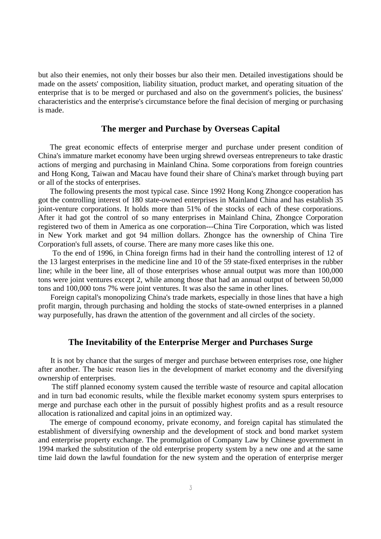but also their enemies, not only their bosses bur also their men. Detailed investigations should be made on the assets' composition, liability situation, product market, and operating situation of the enterprise that is to be merged or purchased and also on the government's policies, the business' characteristics and the enterprise's circumstance before the final decision of merging or purchasing is made.

#### **The merger and Purchase by Overseas Capital**

 The great economic effects of enterprise merger and purchase under present condition of China's immature market economy have been urging shrewd overseas entrepreneurs to take drastic actions of merging and purchasing in Mainland China. Some corporations from foreign countries and Hong Kong, Taiwan and Macau have found their share of China's market through buying part or all of the stocks of enterprises.

 The following presents the most typical case. Since 1992 Hong Kong Zhongce cooperation has got the controlling interest of 180 state-owned enterprises in Mainland China and has establish 35 joint-venture corporations. It holds more than 51% of the stocks of each of these corporations. After it had got the control of so many enterprises in Mainland China, Zhongce Corporation registered two of them in America as one corporation---China Tire Corporation, which was listed in New York market and got 94 million dollars. Zhongce has the ownership of China Tire Corporation's full assets, of course. There are many more cases like this one.

 To the end of 1996, in China foreign firms had in their hand the controlling interest of 12 of the 13 largest enterprises in the medicine line and 10 of the 59 state-fixed enterprises in the rubber line; while in the beer line, all of those enterprises whose annual output was more than 100,000 tons were joint ventures except 2, while among those that had an annual output of between 50,000 tons and 100,000 tons 7% were joint ventures. It was also the same in other lines.

 Foreign capital's monopolizing China's trade markets, especially in those lines that have a high profit margin, through purchasing and holding the stocks of state-owned enterprises in a planned way purposefully, has drawn the attention of the government and all circles of the society.

### **The Inevitability of the Enterprise Merger and Purchases Surge**

 It is not by chance that the surges of merger and purchase between enterprises rose, one higher after another. The basic reason lies in the development of market economy and the diversifying ownership of enterprises.

 The stiff planned economy system caused the terrible waste of resource and capital allocation and in turn bad economic results, while the flexible market economy system spurs enterprises to merge and purchase each other in the pursuit of possibly highest profits and as a result resource allocation is rationalized and capital joins in an optimized way.

 The emerge of compound economy, private economy, and foreign capital has stimulated the establishment of diversifying ownership and the development of stock and bond market system and enterprise property exchange. The promulgation of Company Law by Chinese government in 1994 marked the substitution of the old enterprise property system by a new one and at the same time laid down the lawful foundation for the new system and the operation of enterprise merger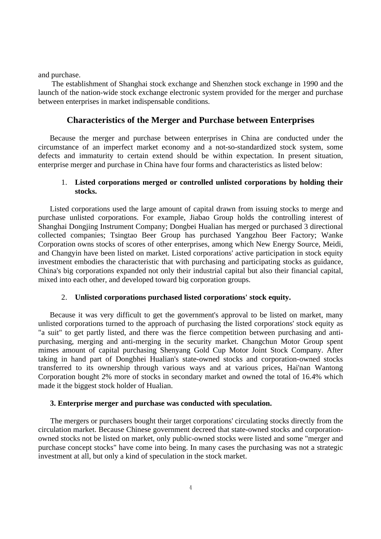and purchase.

 The establishment of Shanghai stock exchange and Shenzhen stock exchange in 1990 and the launch of the nation-wide stock exchange electronic system provided for the merger and purchase between enterprises in market indispensable conditions.

### **Characteristics of the Merger and Purchase between Enterprises**

 Because the merger and purchase between enterprises in China are conducted under the circumstance of an imperfect market economy and a not-so-standardized stock system, some defects and immaturity to certain extend should be within expectation. In present situation, enterprise merger and purchase in China have four forms and characteristics as listed below:

#### 1. **Listed corporations merged or controlled unlisted corporations by holding their stocks.**

 Listed corporations used the large amount of capital drawn from issuing stocks to merge and purchase unlisted corporations. For example, Jiabao Group holds the controlling interest of Shanghai Dongjing Instrument Company; Dongbei Hualian has merged or purchased 3 directional collected companies; Tsingtao Beer Group has purchased Yangzhou Beer Factory; Wanke Corporation owns stocks of scores of other enterprises, among which New Energy Source, Meidi, and Changyin have been listed on market. Listed corporations' active participation in stock equity investment embodies the characteristic that with purchasing and participating stocks as guidance, China's big corporations expanded not only their industrial capital but also their financial capital, mixed into each other, and developed toward big corporation groups.

#### 2. **Unlisted corporations purchased listed corporations' stock equity.**

 Because it was very difficult to get the government's approval to be listed on market, many unlisted corporations turned to the approach of purchasing the listed corporations' stock equity as "a suit" to get partly listed, and there was the fierce competition between purchasing and antipurchasing, merging and anti-merging in the security market. Changchun Motor Group spent mimes amount of capital purchasing Shenyang Gold Cup Motor Joint Stock Company. After taking in hand part of Dongbhei Hualian's state-owned stocks and corporation-owned stocks transferred to its ownership through various ways and at various prices, Hai'nan Wantong Corporation bought 2% more of stocks in secondary market and owned the total of 16.4% which made it the biggest stock holder of Hualian.

#### **3. Enterprise merger and purchase was conducted with speculation.**

 The mergers or purchasers bought their target corporations' circulating stocks directly from the circulation market. Because Chinese government decreed that state-owned stocks and corporationowned stocks not be listed on market, only public-owned stocks were listed and some "merger and purchase concept stocks" have come into being. In many cases the purchasing was not a strategic investment at all, but only a kind of speculation in the stock market.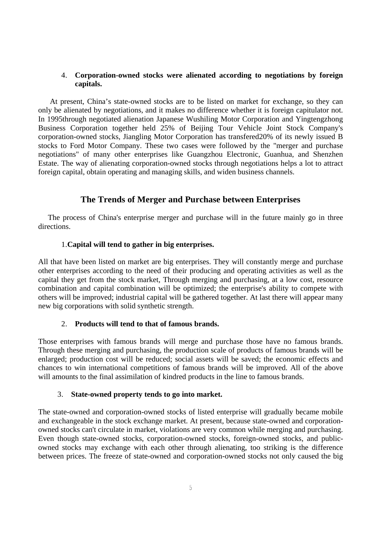#### 4. **Corporation-owned stocks were alienated according to negotiations by foreign capitals.**

 At present, China's state-owned stocks are to be listed on market for exchange, so they can only be alienated by negotiations, and it makes no difference whether it is foreign capitulator not. In 1995through negotiated alienation Japanese Wushiling Motor Corporation and Yingtengzhong Business Corporation together held 25% of Beijing Tour Vehicle Joint Stock Company's corporation-owned stocks, Jiangling Motor Corporation has transfered20% of its newly issued B stocks to Ford Motor Company. These two cases were followed by the "merger and purchase negotiations" of many other enterprises like Guangzhou Electronic, Guanhua, and Shenzhen Estate. The way of alienating corporation-owned stocks through negotiations helps a lot to attract foreign capital, obtain operating and managing skills, and widen business channels.

# **The Trends of Merger and Purchase between Enterprises**

 The process of China's enterprise merger and purchase will in the future mainly go in three directions.

## 1.**Capital will tend to gather in big enterprises.**

All that have been listed on market are big enterprises. They will constantly merge and purchase other enterprises according to the need of their producing and operating activities as well as the capital they get from the stock market, Through merging and purchasing, at a low cost, resource combination and capital combination will be optimized; the enterprise's ability to compete with others will be improved; industrial capital will be gathered together. At last there will appear many new big corporations with solid synthetic strength.

### 2. **Products will tend to that of famous brands.**

Those enterprises with famous brands will merge and purchase those have no famous brands. Through these merging and purchasing, the production scale of products of famous brands will be enlarged; production cost will be reduced; social assets will be saved; the economic effects and chances to win international competitions of famous brands will be improved. All of the above will amounts to the final assimilation of kindred products in the line to famous brands.

### 3. **State-owned property tends to go into market.**

The state-owned and corporation-owned stocks of listed enterprise will gradually became mobile and exchangeable in the stock exchange market. At present, because state-owned and corporationowned stocks can't circulate in market, violations are very common while merging and purchasing. Even though state-owned stocks, corporation-owned stocks, foreign-owned stocks, and publicowned stocks may exchange with each other through alienating, too striking is the difference between prices. The freeze of state-owned and corporation-owned stocks not only caused the big